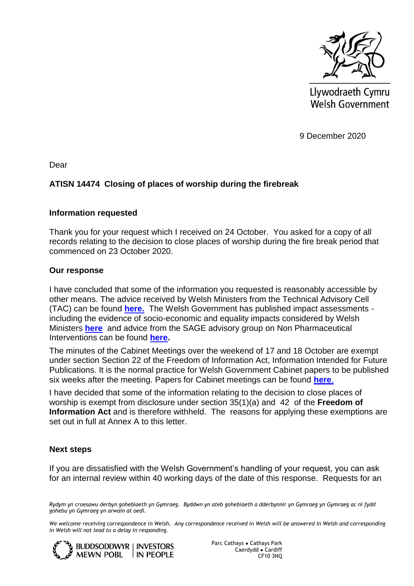

Llywodraeth Cymru Welsh Government

9 December 2020

Dear

## **ATISN 14474 Closing of places of worship during the firebreak**

#### **Information requested**

Thank you for your request which I received on 24 October. You asked for a copy of all records relating to the decision to close places of worship during the fire break period that commenced on 23 October 2020.

#### **Our response**

I have concluded that some of the information you requested is reasonably accessible by other means. The advice received by Welsh Ministers from the Technical Advisory Cell (TAC) can be found **[here.](https://gov.wales/sites/default/files/publications/2020-10/advice-summary-23-october-2020.pdf)** The Welsh Government has published impact assessments including the evidence of socio-economic and equality impacts considered by Welsh Ministers **[here](https://gov.wales/summary-restrictions-social-gathering-and-travel-business-closures-and-attendance-school-html)** and advice from the SAGE advisory group on Non Pharmaceutical Interventions can be found **[here.](https://assets.publishing.service.gov.uk/government/uploads/system/uploads/attachment_data/file/925856/S0770_NPIs_table__pivot_.pdf)**

The minutes of the Cabinet Meetings over the weekend of 17 and 18 October are exempt under section Section 22 of the Freedom of Information Act, Information Intended for Future Publications. It is the normal practice for Welsh Government Cabinet papers to be published six weeks after the meeting. Papers for Cabinet meetings can be found **[here](https://gov.wales/cabinet-meetings)**.

I have decided that some of the information relating to the decision to close places of worship is exempt from disclosure under section 35(1)(a) and 42 of the **Freedom of Information Act** and is therefore withheld. The reasons for applying these exemptions are set out in full at Annex A to this letter.

### **Next steps**

If you are dissatisfied with the Welsh Government's handling of your request, you can ask for an internal review within 40 working days of the date of this response. Requests for an

*Rydym yn croesawu derbyn gohebiaeth yn Gymraeg. Byddwn yn ateb gohebiaeth a dderbynnir yn Gymraeg yn Gymraeg ac ni fydd gohebu yn Gymraeg yn arwain at oedi.* 

*We welcome receiving correspondence in Welsh. Any correspondence received in Welsh will be answered in Welsh and corresponding in Welsh will not lead to a delay in responding.* 



Parc Cathays ● Cathays Park Caerdydd ● Cardiff CF10 3NQ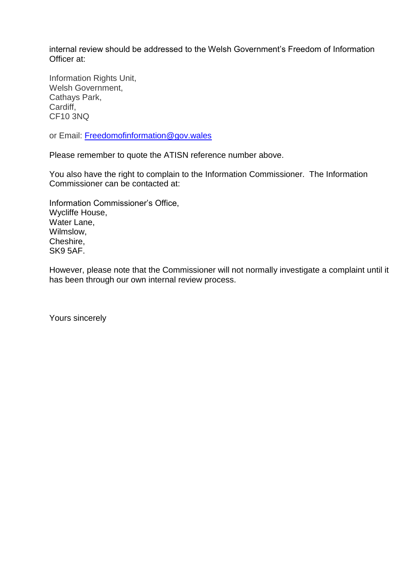internal review should be addressed to the Welsh Government's Freedom of Information Officer at:

Information Rights Unit, Welsh Government, Cathays Park, Cardiff, CF10 3NQ

or Email: [Freedomofinformation@gov.wales](mailto:Freedomofinformation@gov.wales)

Please remember to quote the ATISN reference number above.

You also have the right to complain to the Information Commissioner. The Information Commissioner can be contacted at:

Information Commissioner's Office, Wycliffe House, Water Lane, Wilmslow, Cheshire, SK9 5AF.

However, please note that the Commissioner will not normally investigate a complaint until it has been through our own internal review process.

Yours sincerely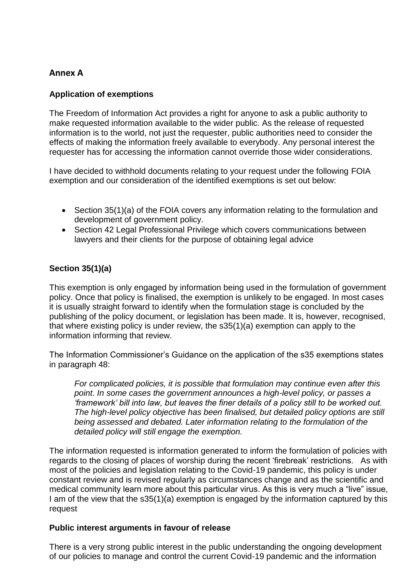# **Annex A**

## **Application of exemptions**

The Freedom of Information Act provides a right for anyone to ask a public authority to make requested information available to the wider public. As the release of requested information is to the world, not just the requester, public authorities need to consider the effects of making the information freely available to everybody. Any personal interest the requester has for accessing the information cannot override those wider considerations.

I have decided to withhold documents relating to your request under the following FOIA exemption and our consideration of the identified exemptions is set out below:

- Section 35(1)(a) of the FOIA covers any information relating to the formulation and development of government policy.
- Section 42 Legal Professional Privilege which covers communications between lawyers and their clients for the purpose of obtaining legal advice

# **Section 35(1)(a)**

This exemption is only engaged by information being used in the formulation of government policy. Once that policy is finalised, the exemption is unlikely to be engaged. In most cases it is usually straight forward to identify when the formulation stage is concluded by the publishing of the policy document, or legislation has been made. It is, however, recognised, that where existing policy is under review, the s35(1)(a) exemption can apply to the information informing that review.

The Information Commissioner's Guidance on the application of the s35 exemptions states in paragraph 48:

*For complicated policies, it is possible that formulation may continue even after this point. In some cases the government announces a high-level policy, or passes a 'framework' bill into law, but leaves the finer details of a policy still to be worked out. The high-level policy objective has been finalised, but detailed policy options are still being assessed and debated. Later information relating to the formulation of the detailed policy will still engage the exemption.* 

The information requested is information generated to inform the formulation of policies with regards to the closing of places of worship during the recent 'firebreak' restrictions. As with most of the policies and legislation relating to the Covid-19 pandemic, this policy is under constant review and is revised regularly as circumstances change and as the scientific and medical community learn more about this particular virus. As this is very much a "live" issue, I am of the view that the s35(1)(a) exemption is engaged by the information captured by this request

### **Public interest arguments in favour of release**

There is a very strong public interest in the public understanding the ongoing development of our policies to manage and control the current Covid-19 pandemic and the information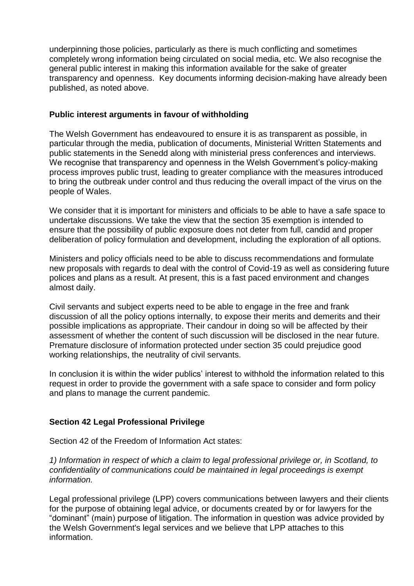underpinning those policies, particularly as there is much conflicting and sometimes completely wrong information being circulated on social media, etc. We also recognise the general public interest in making this information available for the sake of greater transparency and openness. Key documents informing decision-making have already been published, as noted above.

## **Public interest arguments in favour of withholding**

The Welsh Government has endeavoured to ensure it is as transparent as possible, in particular through the media, publication of documents, Ministerial Written Statements and public statements in the Senedd along with ministerial press conferences and interviews. We recognise that transparency and openness in the Welsh Government's policy-making process improves public trust, leading to greater compliance with the measures introduced to bring the outbreak under control and thus reducing the overall impact of the virus on the people of Wales.

We consider that it is important for ministers and officials to be able to have a safe space to undertake discussions. We take the view that the section 35 exemption is intended to ensure that the possibility of public exposure does not deter from full, candid and proper deliberation of policy formulation and development, including the exploration of all options.

Ministers and policy officials need to be able to discuss recommendations and formulate new proposals with regards to deal with the control of Covid-19 as well as considering future polices and plans as a result. At present, this is a fast paced environment and changes almost daily.

Civil servants and subject experts need to be able to engage in the free and frank discussion of all the policy options internally, to expose their merits and demerits and their possible implications as appropriate. Their candour in doing so will be affected by their assessment of whether the content of such discussion will be disclosed in the near future. Premature disclosure of information protected under section 35 could prejudice good working relationships, the neutrality of civil servants.

In conclusion it is within the wider publics' interest to withhold the information related to this request in order to provide the government with a safe space to consider and form policy and plans to manage the current pandemic.

## **Section 42 Legal Professional Privilege**

Section 42 of the Freedom of Information Act states:

*1) Information in respect of which a claim to legal professional privilege or, in Scotland, to confidentiality of communications could be maintained in legal proceedings is exempt information.* 

Legal professional privilege (LPP) covers communications between lawyers and their clients for the purpose of obtaining legal advice, or documents created by or for lawyers for the "dominant" (main) purpose of litigation. The information in question was advice provided by the Welsh Government's legal services and we believe that LPP attaches to this information.